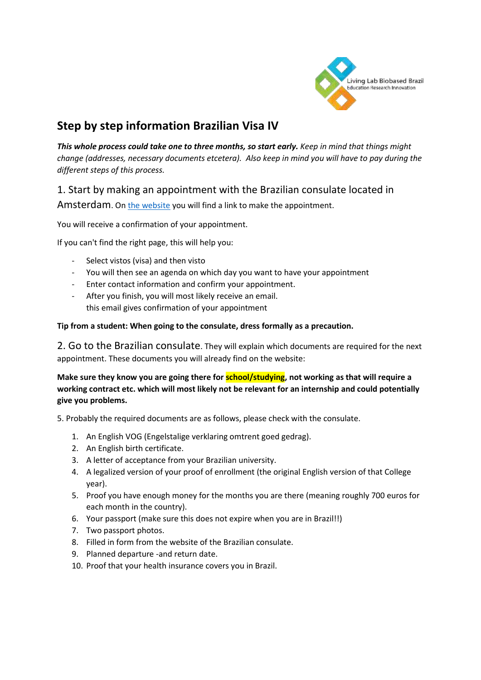

# **Step by step information Brazilian Visa IV**

*This whole process could take one to three months, so start early. Keep in mind that things might change (addresses, necessary documents etcetera). Also keep in mind you will have to pay during the different steps of this process.*

# 1. Start by making an appointment with the Brazilian consulate located in

Amsterdam. On [the website](http://amsterda.itamaraty.gov.br/pt-br/) you will find a link to make the appointment.

You will receive a confirmation of your appointment.

If you can't find the right page, this will help you:

- Select vistos (visa) and then visto
- You will then see an agenda on which day you want to have your appointment
- Enter contact information and confirm your appointment.
- After you finish, you will most likely receive an email. this email gives confirmation of your appointment

#### **Tip from a student: When going to the consulate, dress formally as a precaution.**

2. Go to the Brazilian consulate. They will explain which documents are required for the next appointment. These documents you will already find on the website:

**Make sure they know you are going there for school/studying, not working as that will require a working contract etc. which will most likely not be relevant for an internship and could potentially give you problems.**

5. Probably the required documents are as follows, please check with the consulate.

- 1. An English VOG (Engelstalige verklaring omtrent goed gedrag).
- 2. An English birth certificate.
- 3. A letter of acceptance from your Brazilian university.
- 4. A legalized version of your proof of enrollment (the original English version of that College year).
- 5. Proof you have enough money for the months you are there (meaning roughly 700 euros for each month in the country).
- 6. Your passport (make sure this does not expire when you are in Brazil!!)
- 7. Two passport photos.
- 8. Filled in form from the website of the Brazilian consulate.
- 9. Planned departure -and return date.
- 10. Proof that your health insurance covers you in Brazil.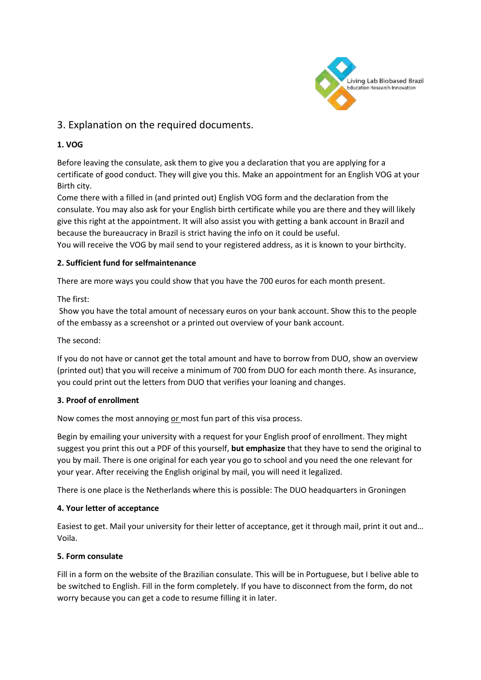

# 3. Explanation on the required documents.

## **1. VOG**

Before leaving the consulate, ask them to give you a declaration that you are applying for a certificate of good conduct. They will give you this. Make an appointment for an English VOG at your Birth city.

Come there with a filled in (and printed out) English VOG form and the declaration from the consulate. You may also ask for your English birth certificate while you are there and they will likely give this right at the appointment. It will also assist you with getting a bank account in Brazil and because the bureaucracy in Brazil is strict having the info on it could be useful.

You will receive the VOG by mail send to your registered address, as it is known to your birthcity.

### **2. Sufficient fund for selfmaintenance**

There are more ways you could show that you have the 700 euros for each month present.

### The first:

Show you have the total amount of necessary euros on your bank account. Show this to the people of the embassy as a screenshot or a printed out overview of your bank account.

The second:

If you do not have or cannot get the total amount and have to borrow from DUO, show an overview (printed out) that you will receive a minimum of 700 from DUO for each month there. As insurance, you could print out the letters from DUO that verifies your loaning and changes.

#### **3. Proof of enrollment**

Now comes the most annoying or most fun part of this visa process.

Begin by emailing your university with a request for your English proof of enrollment. They might suggest you print this out a PDF of this yourself, **but emphasize** that they have to send the original to you by mail. There is one original for each year you go to school and you need the one relevant for your year. After receiving the English original by mail, you will need it legalized.

There is one place is the Netherlands where this is possible: The DUO headquarters in Groningen

#### **4. Your letter of acceptance**

Easiest to get. Mail your university for their letter of acceptance, get it through mail, print it out and… Voila.

#### **5. Form consulate**

Fill in a form on the website of the Brazilian consulate. This will be in Portuguese, but I belive able to be switched to English. Fill in the form completely. If you have to disconnect from the form, do not worry because you can get a code to resume filling it in later.